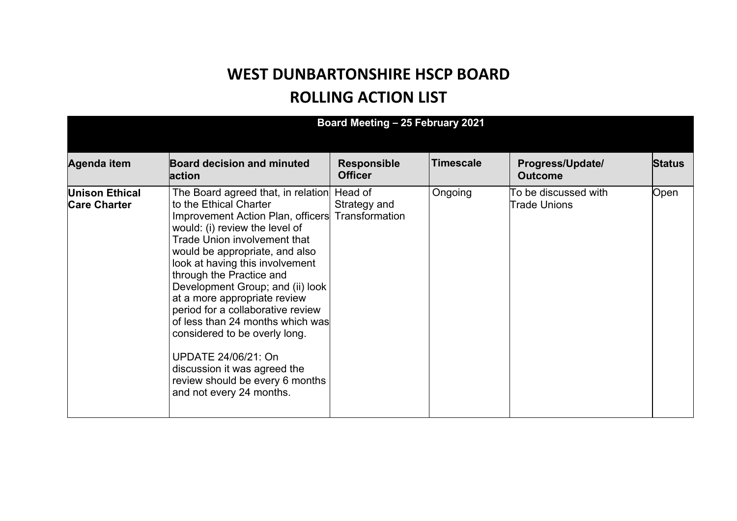## **WEST DUNBARTONSHIRE HSCP BOARD ROLLING ACTION LIST**

| Board Meeting - 25 February 2021             |                                                                                                                                                                                                                                                                                                                                                                                                                                                                                                                                                                                                        |                                      |                  |                                             |               |  |  |
|----------------------------------------------|--------------------------------------------------------------------------------------------------------------------------------------------------------------------------------------------------------------------------------------------------------------------------------------------------------------------------------------------------------------------------------------------------------------------------------------------------------------------------------------------------------------------------------------------------------------------------------------------------------|--------------------------------------|------------------|---------------------------------------------|---------------|--|--|
| Agenda item                                  | <b>Board decision and minuted</b><br>action                                                                                                                                                                                                                                                                                                                                                                                                                                                                                                                                                            | <b>Responsible</b><br><b>Officer</b> | <b>Timescale</b> | Progress/Update/<br><b>Outcome</b>          | <b>Status</b> |  |  |
| <b>Unison Ethical</b><br><b>Care Charter</b> | The Board agreed that, in relation Head of<br>to the Ethical Charter<br>Improvement Action Plan, officers Transformation<br>would: (i) review the level of<br><b>Trade Union involvement that</b><br>would be appropriate, and also<br>look at having this involvement<br>through the Practice and<br>Development Group; and (ii) look<br>at a more appropriate review<br>period for a collaborative review<br>of less than 24 months which was<br>considered to be overly long.<br>UPDATE 24/06/21: On<br>discussion it was agreed the<br>review should be every 6 months<br>and not every 24 months. | Strategy and                         | Ongoing          | To be discussed with<br><b>Trade Unions</b> | Open          |  |  |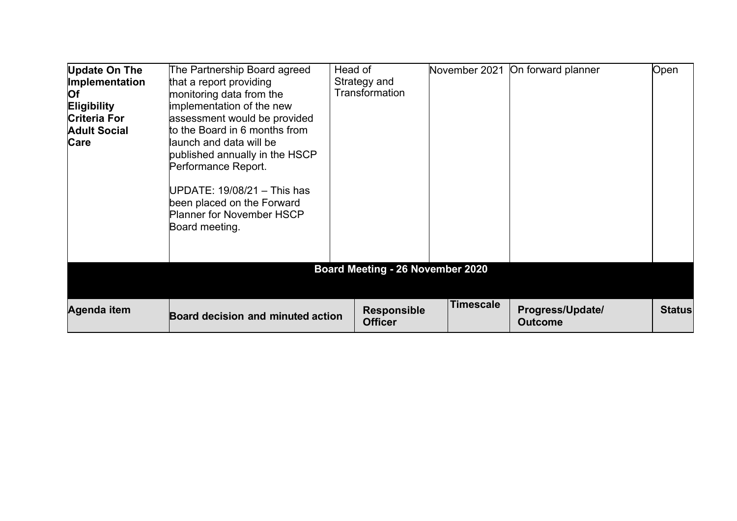| <b>Update On The</b><br>Implementation<br>Of<br><b>Eligibility</b><br><b>Criteria For</b><br><b>Adult Social</b><br>Care | The Partnership Board agreed<br>that a report providing<br>monitoring data from the<br>implementation of the new<br>assessment would be provided<br>to the Board in 6 months from<br>launch and data will be<br>published annually in the HSCP<br>Performance Report.<br>UPDATE: $19/08/21 -$ This has<br>been placed on the Forward<br><b>Planner for November HSCP</b><br>Board meeting. | Head of | Strategy and<br>Transformation          | November 2021    | On forward planner                 | Open          |
|--------------------------------------------------------------------------------------------------------------------------|--------------------------------------------------------------------------------------------------------------------------------------------------------------------------------------------------------------------------------------------------------------------------------------------------------------------------------------------------------------------------------------------|---------|-----------------------------------------|------------------|------------------------------------|---------------|
|                                                                                                                          |                                                                                                                                                                                                                                                                                                                                                                                            |         | <b>Board Meeting - 26 November 2020</b> |                  |                                    |               |
| Agenda item                                                                                                              | Board decision and minuted action                                                                                                                                                                                                                                                                                                                                                          |         | <b>Responsible</b><br><b>Officer</b>    | <b>Timescale</b> | Progress/Update/<br><b>Outcome</b> | <b>Status</b> |